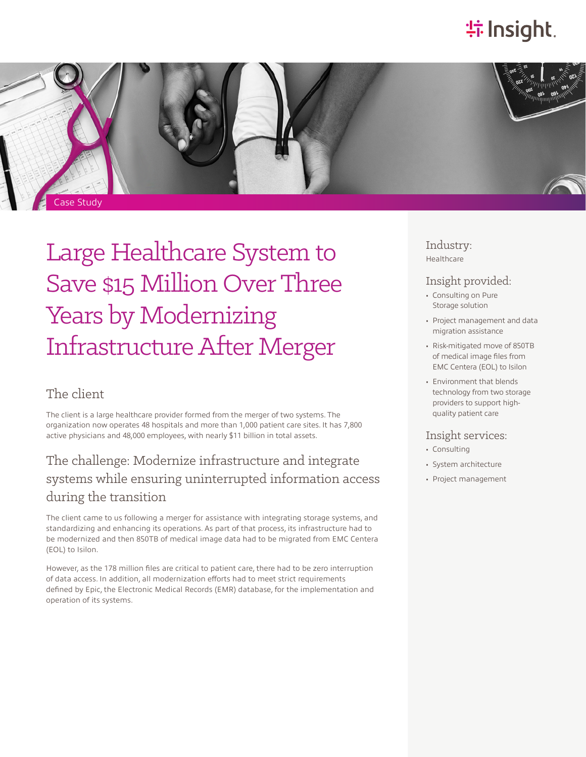# **特 Insight**.



Large Healthcare System to Save \$15 Million Over Three Years by Modernizing Infrastructure After Merger

### The client

The client is a large healthcare provider formed from the merger of two systems. The organization now operates 48 hospitals and more than 1,000 patient care sites. It has 7,800 active physicians and 48,000 employees, with nearly \$11 billion in total assets.

## The challenge: Modernize infrastructure and integrate systems while ensuring uninterrupted information access during the transition

The client came to us following a merger for assistance with integrating storage systems, and standardizing and enhancing its operations. As part of that process, its infrastructure had to be modernized and then 850TB of medical image data had to be migrated from EMC Centera (EOL) to Isilon.

However, as the 178 million files are critical to patient care, there had to be zero interruption of data access. In addition, all modernization efforts had to meet strict requirements defined by Epic, the Electronic Medical Records (EMR) database, for the implementation and operation of its systems.

Industry: Healthcare

### Insight provided:

- Consulting on Pure Storage solution
- Project management and data migration assistance
- Risk-mitigated move of 850TB of medical image files from EMC Centera (EOL) to Isilon
- Environment that blends technology from two storage providers to support highquality patient care

#### Insight services:

- Consulting
- System architecture
- Project management